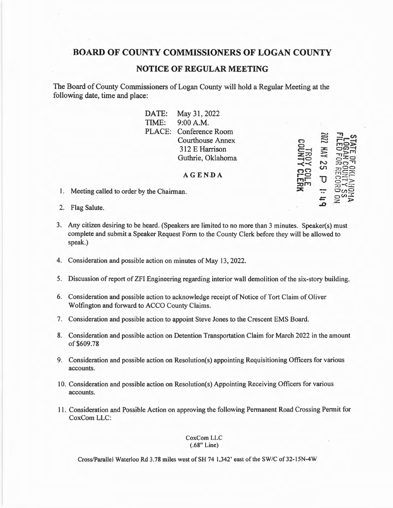## **BOARD OF COUNTY COMMISSIONERS OF LOGAN COUNTY**

## **NOTICE OF REGULAR MEETING**

The Board of County Commissioners of Logan County will hold a Regular Meeting at the following date, time and place:

| DATE:  | May 31, 2022            |  |
|--------|-------------------------|--|
| TIME:  | 9:00 A.M.               |  |
| PLACE: | <b>Conference Room</b>  |  |
|        | <b>Courthouse Annex</b> |  |
|        | 312 E Harrison          |  |
|        | Guthrie, Oklahoma       |  |
|        |                         |  |

**A GEN.DA** 

**n 0 C--l :z** :.z, **-tO**   $\prec$   $\prec$ *r,CJ*  **r-o** ,.,,,-- **:::Oi'1**   $\asymp$ 

......, 5  $\Xi$  $\approx$ **:x:**  >  $\approx$ **N**  *u,* 

**-r, -,-<I>**   $\frac{1}{2}$  $\Xi_{\Xi}^{\Xi\Xi}$  $\frac{1}{20}$ ..,..,oc:, **rns25** {~·-· **<sup>o</sup> - ~:">**   $\mathbb{R}$   $\leq$ o,no  $\alpha$ **.z** >

**1J**  -..  $=$ **..0** 

- 1. Meeting called to order by the Chairman.
- 2. Flag Salute.
- 3. Any citizen desiring to be heard. (Speakers are limited to no more than 3 minutes. Speaker(s) must complete and submit a Speaker Request Form to the County Clerk before they will be allowed to speak.)
- 4. Consideration and possible action on minutes of May 13, 2022.
- 5. Discussion of report of ZFI Engineering regarding interior wall demolition of the six-story building.
- 6. Consideration and possible action to acknowledge receipt of Notice of Tort Claim of Oliver Wolfington and forward to ACCO County Claims.
- 7. Consideration and possible action to appoint Steve Jones to the Crescent EMS Board.
- 8. Consideration and possible action on Detention Transportation Claim for March 2022 in the amount of \$609.78
- 9. Consideration and possible action on Resolution(s) appointing Requisitioning Officers for various accounts.
- 10. Consideration and possible action on Resolution(s) Appointing Receiving Officers for various accounts.
- 11. Consideration and Possible Action on approving the following Permanent Road Crossing Permit for CoxCom LLC:

## CoxCom LLC (.68" Line)

Cross/Parallel Waterloo Rd 3.78 miles west of SH 74 1,342' east of the SW/C of 32-15N-4W